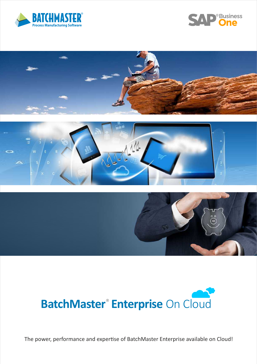











The power, performance and expertise of BatchMaster Enterprise available on Cloud!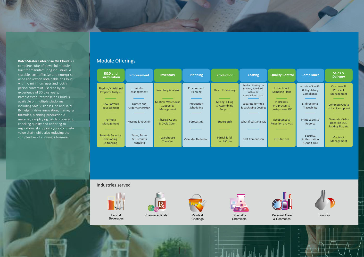# **BatchMaster Enterprise On Cloud** is a

complete suite of powerful modules built for manufacturing industries. A scalable, cost-effective and enterprisewide application obtainable on Cloud with no minimum user and lock-in period constraint. Backed by an experience of 30 plus years, BatchMaster Enterprise on Cloud is available on multiple platforms including SAP Business One and Tally. By helping drive innovation, managing formulas, planning production & material, simplifying batch processing, checking quality and adhering to regulations, it supports your complete value chain while also reducing the complexities of running a business.



### **Sales & Delivery**

# Module Offerings

**Contract** Management



Personal Care Foundry & Cosmetics



Industry- Specific & Regulatory Compliance

Customer & Prospect Management

| <b>R&amp;D</b> and<br><b>Formulation</b>         | <b>Procurement</b>                             | Inventory                                            | <b>Planning</b>                | <b>Production</b>                          | <b>Costing</b>                                                             | <b>Quality Control</b>                          | <b>Compliance</b>                               |
|--------------------------------------------------|------------------------------------------------|------------------------------------------------------|--------------------------------|--------------------------------------------|----------------------------------------------------------------------------|-------------------------------------------------|-------------------------------------------------|
| Physical/Nutritional<br><b>Property Analysis</b> | Vendor<br>Management                           | <b>Inventory Analysis</b>                            | Procurement<br><b>Planning</b> | <b>Batch Processing</b>                    | Product Costing on<br>Market, Standard,<br>Actual or<br>user-defined costs | Inspection &<br><b>Sampling Plans</b>           | Industry- Specifi<br>& Regulatory<br>Compliance |
| New Formula<br>development                       | Quotes and<br><b>Order Generation</b>          | <b>Multiple Warehouse</b><br>Support &<br>Management | Production<br>Scheduling       | Mixing, Filling<br>& Assembling<br>Support | Separate formula<br>& packaging Costing                                    | In-process,<br>Pre-process &<br>post-process QC | Bi-directional<br>Traceability                  |
| Formula<br>Management                            | Receipt & Voucher                              | <b>Physical Count</b><br>& Cycle Count               | Forecasting                    | <b>SuperBatch</b>                          | What-if cost analysis                                                      | Acceptance &<br><b>Rejection analysis</b>       | Prints Labels &<br>Reports                      |
| Formula Security,<br>versioning<br>& tracking    | Taxes, Terms<br>& Discounts<br><b>Handling</b> | Warehouse<br><b>Transfers</b>                        | <b>Calendar Definition</b>     | Partial & full<br>batch Close              | <b>Cost Comparison</b>                                                     | <b>QC Statuses</b>                              | Security,<br>Authorization<br>& Audit Trail     |

Complete Quote to Invoice support

Generates Sales Docs like BOL, Packing Slip, etc.



Food & Beverages